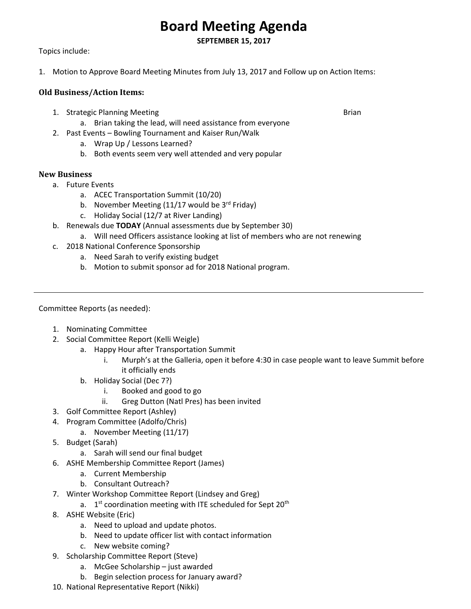## **Board Meeting Agenda**

**SEPTEMBER 15, 2017** 

Topics include:

1. Motion to Approve Board Meeting Minutes from July 13, 2017 and Follow up on Action Items:

## **Old Business/Action Items:**

- 1. Strategic Planning Meeting **Brian Communist Communist Communist** Brian
	- a. Brian taking the lead, will need assistance from everyone
- 2. Past Events Bowling Tournament and Kaiser Run/Walk
	- a. Wrap Up / Lessons Learned?
	- b. Both events seem very well attended and very popular

## **New Business**

- a. Future Events
	- a. ACEC Transportation Summit (10/20)
	- b. November Meeting  $(11/17$  would be 3<sup>rd</sup> Friday)
	- c. Holiday Social (12/7 at River Landing)
- b. Renewals due **TODAY** (Annual assessments due by September 30)
	- a. Will need Officers assistance looking at list of members who are not renewing
- c. 2018 National Conference Sponsorship
	- a. Need Sarah to verify existing budget
	- b. Motion to submit sponsor ad for 2018 National program.

Committee Reports (as needed):

- 1. Nominating Committee
- 2. Social Committee Report (Kelli Weigle)
	- a. Happy Hour after Transportation Summit
		- i. Murph's at the Galleria, open it before 4:30 in case people want to leave Summit before it officially ends
	- b. Holiday Social (Dec 7?)
		- i. Booked and good to go
		- ii. Greg Dutton (Natl Pres) has been invited
- 3. Golf Committee Report (Ashley)
- 4. Program Committee (Adolfo/Chris)
	- a. November Meeting (11/17)
- 5. Budget (Sarah)
	- a. Sarah will send our final budget
- 6. ASHE Membership Committee Report (James)
	- a. Current Membership
	- b. Consultant Outreach?
- 7. Winter Workshop Committee Report (Lindsey and Greg)
	- a.  $1^{st}$  coordination meeting with ITE scheduled for Sept 20<sup>th</sup>
- 8. ASHE Website (Eric)
	- a. Need to upload and update photos.
	- b. Need to update officer list with contact information
	- c. New website coming?
- 9. Scholarship Committee Report (Steve)
	- a. McGee Scholarship just awarded
	- b. Begin selection process for January award?
- 10. National Representative Report (Nikki)